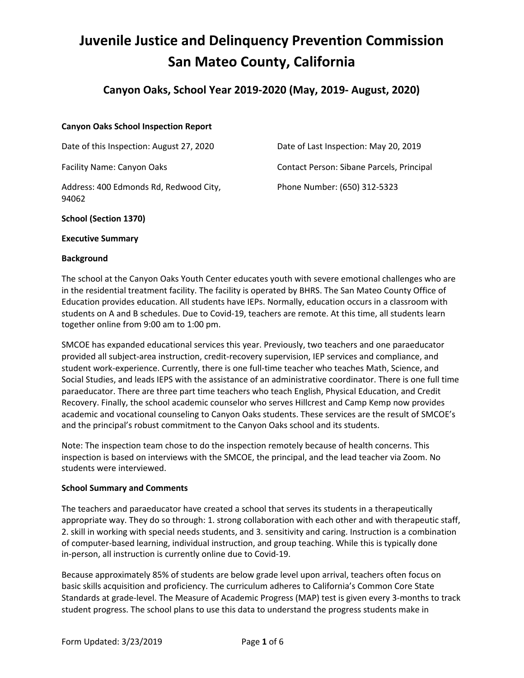# **Juvenile Justice and Delinquency Prevention Commission San Mateo County, California**

# **Canyon Oaks, School Year 2019-2020 (May, 2019- August, 2020)**

# **Canyon Oaks School Inspection Report**

Date of this Inspection: August 27, 2020

Facility Name: Canyon Oaks

Address: 400 Edmonds Rd, Redwood City, 94062

Date of Last Inspection: May 20, 2019 Contact Person: Sibane Parcels, Principal Phone Number: (650) 312-5323

# **School (Section 1370)**

#### **Executive Summary**

#### **Background**

The school at the Canyon Oaks Youth Center educates youth with severe emotional challenges who are in the residential treatment facility. The facility is operated by BHRS. The San Mateo County Office of Education provides education. All students have IEPs. Normally, education occurs in a classroom with students on A and B schedules. Due to Covid-19, teachers are remote. At this time, all students learn together online from 9:00 am to 1:00 pm.

SMCOE has expanded educational services this year. Previously, two teachers and one paraeducator provided all subject-area instruction, credit-recovery supervision, IEP services and compliance, and student work-experience. Currently, there is one full-time teacher who teaches Math, Science, and Social Studies, and leads IEPS with the assistance of an administrative coordinator. There is one full time paraeducator. There are three part time teachers who teach English, Physical Education, and Credit Recovery. Finally, the school academic counselor who serves Hillcrest and Camp Kemp now provides academic and vocational counseling to Canyon Oaks students. These services are the result of SMCOE's and the principal's robust commitment to the Canyon Oaks school and its students.

Note: The inspection team chose to do the inspection remotely because of health concerns. This inspection is based on interviews with the SMCOE, the principal, and the lead teacher via Zoom. No students were interviewed.

#### **School Summary and Comments**

The teachers and paraeducator have created a school that serves its students in a therapeutically appropriate way. They do so through: 1. strong collaboration with each other and with therapeutic staff, 2. skill in working with special needs students, and 3. sensitivity and caring. Instruction is a combination of computer-based learning, individual instruction, and group teaching. While this is typically done in-person, all instruction is currently online due to Covid-19.

Because approximately 85% of students are below grade level upon arrival, teachers often focus on basic skills acquisition and proficiency. The curriculum adheres to California's Common Core State Standards at grade-level. The Measure of Academic Progress (MAP) test is given every 3-months to track student progress. The school plans to use this data to understand the progress students make in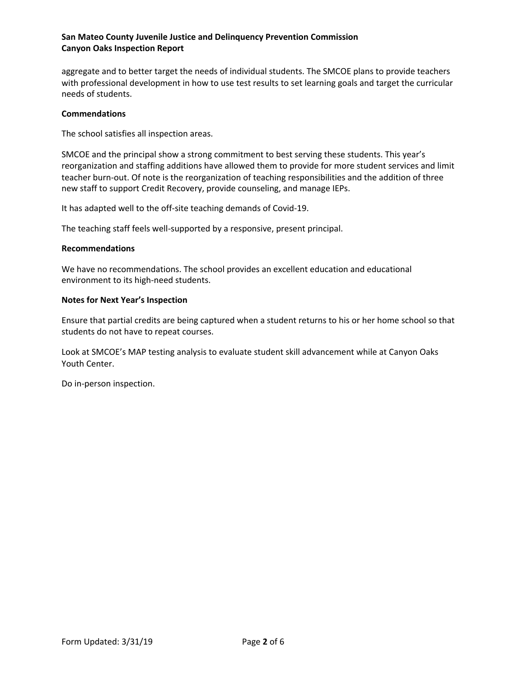aggregate and to better target the needs of individual students. The SMCOE plans to provide teachers with professional development in how to use test results to set learning goals and target the curricular needs of students.

#### **Commendations**

The school satisfies all inspection areas.

SMCOE and the principal show a strong commitment to best serving these students. This year's reorganization and staffing additions have allowed them to provide for more student services and limit teacher burn-out. Of note is the reorganization of teaching responsibilities and the addition of three new staff to support Credit Recovery, provide counseling, and manage IEPs.

It has adapted well to the off-site teaching demands of Covid-19.

The teaching staff feels well-supported by a responsive, present principal.

#### **Recommendations**

We have no recommendations. The school provides an excellent education and educational environment to its high-need students.

# **Notes for Next Year's Inspection**

Ensure that partial credits are being captured when a student returns to his or her home school so that students do not have to repeat courses.

Look at SMCOE's MAP testing analysis to evaluate student skill advancement while at Canyon Oaks Youth Center.

Do in-person inspection.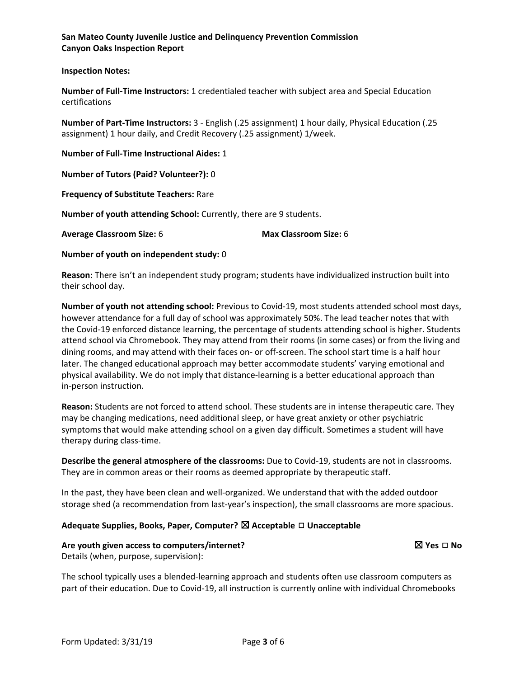# **Inspection Notes:**

**Number of Full-Time Instructors:** 1 credentialed teacher with subject area and Special Education certifications

**Number of Part-Time Instructors:** 3 - English (.25 assignment) 1 hour daily, Physical Education (.25 assignment) 1 hour daily, and Credit Recovery (.25 assignment) 1/week.

**Number of Full-Time Instructional Aides:** 1

**Number of Tutors (Paid? Volunteer?):** 0

**Frequency of Substitute Teachers:** Rare

**Number of youth attending School:** Currently, there are 9 students.

**Average Classroom Size:** 6 **Max Classroom Size:** 6

**Number of youth on independent study:** 0

**Reason**: There isn't an independent study program; students have individualized instruction built into their school day.

**Number of youth not attending school:** Previous to Covid-19, most students attended school most days, however attendance for a full day of school was approximately 50%. The lead teacher notes that with the Covid-19 enforced distance learning, the percentage of students attending school is higher. Students attend school via Chromebook. They may attend from their rooms (in some cases) or from the living and dining rooms, and may attend with their faces on- or off-screen. The school start time is a half hour later. The changed educational approach may better accommodate students' varying emotional and physical availability. We do not imply that distance-learning is a better educational approach than in-person instruction.

**Reason:** Students are not forced to attend school. These students are in intense therapeutic care. They may be changing medications, need additional sleep, or have great anxiety or other psychiatric symptoms that would make attending school on a given day difficult. Sometimes a student will have therapy during class-time.

**Describe the general atmosphere of the classrooms:** Due to Covid-19, students are not in classrooms. They are in common areas or their rooms as deemed appropriate by therapeutic staff.

In the past, they have been clean and well-organized. We understand that with the added outdoor storage shed (a recommendation from last-year's inspection), the small classrooms are more spacious.

# **Adequate Supplies, Books, Paper, Computer?** ☒ **Acceptable** ◻ **Unacceptable**

#### **Are youth given access to computers/internet?** ☒ **Yes** ◻ **No**

Details (when, purpose, supervision):

The school typically uses a blended-learning approach and students often use classroom computers as part of their education. Due to Covid-19, all instruction is currently online with individual Chromebooks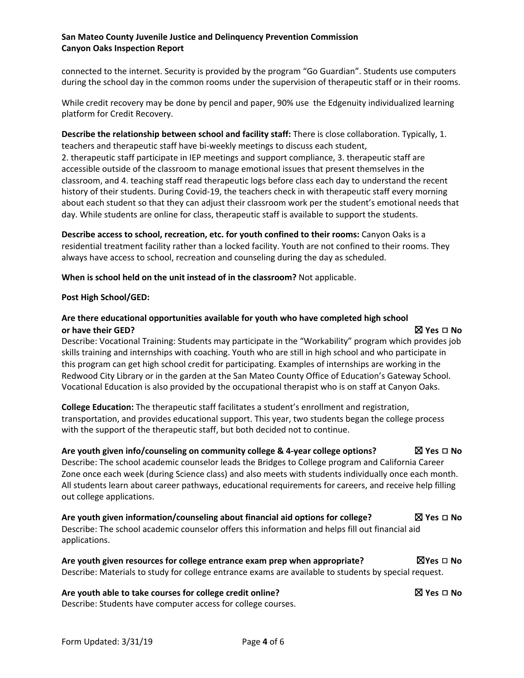connected to the internet. Security is provided by the program "Go Guardian". Students use computers during the school day in the common rooms under the supervision of therapeutic staff or in their rooms.

While credit recovery may be done by pencil and paper, 90% use the Edgenuity individualized learning platform for Credit Recovery.

**Describe the relationship between school and facility staff:** There is close collaboration. Typically, 1. teachers and therapeutic staff have bi-weekly meetings to discuss each student,

2. therapeutic staff participate in IEP meetings and support compliance, 3. therapeutic staff are accessible outside of the classroom to manage emotional issues that present themselves in the classroom, and 4. teaching staff read therapeutic logs before class each day to understand the recent history of their students. During Covid-19, the teachers check in with therapeutic staff every morning about each student so that they can adjust their classroom work per the student's emotional needs that day. While students are online for class, therapeutic staff is available to support the students.

**Describe access to school, recreation, etc. for youth confined to their rooms:** Canyon Oaks is a residential treatment facility rather than a locked facility. Youth are not confined to their rooms. They always have access to school, recreation and counseling during the day as scheduled.

**When is school held on the unit instead of in the classroom?** Not applicable.

# **Post High School/GED:**

# **Are there educational opportunities available for youth who have completed high school or have their GED?** ☒ **Yes** ◻ **No**

Describe: Vocational Training: Students may participate in the "Workability" program which provides job skills training and internships with coaching. Youth who are still in high school and who participate in this program can get high school credit for participating. Examples of internships are working in the Redwood City Library or in the garden at the San Mateo County Office of Education's Gateway School. Vocational Education is also provided by the occupational therapist who is on staff at Canyon Oaks.

**College Education:** The therapeutic staff facilitates a student's enrollment and registration, transportation, and provides educational support. This year, two students began the college process with the support of the therapeutic staff, but both decided not to continue.

# **Are youth given info/counseling on community college & 4-year college options?** ☒ **Yes** ◻ **No**

Describe: The school academic counselor leads the Bridges to College program and California Career Zone once each week (during Science class) and also meets with students individually once each month. All students learn about career pathways, educational requirements for careers, and receive help filling out college applications.

**Are youth given information/counseling about financial aid options for college?** ☒ **Yes** ◻ **No** Describe: The school academic counselor offers this information and helps fill out financial aid applications.

# **Are youth given resources for college entrance exam prep when appropriate?** ☒**Yes** ◻ **No** Describe: Materials to study for college entrance exams are available to students by special request.

**Are youth able to take courses for college credit online?** ☒ **Yes** ◻ **No** Describe: Students have computer access for college courses.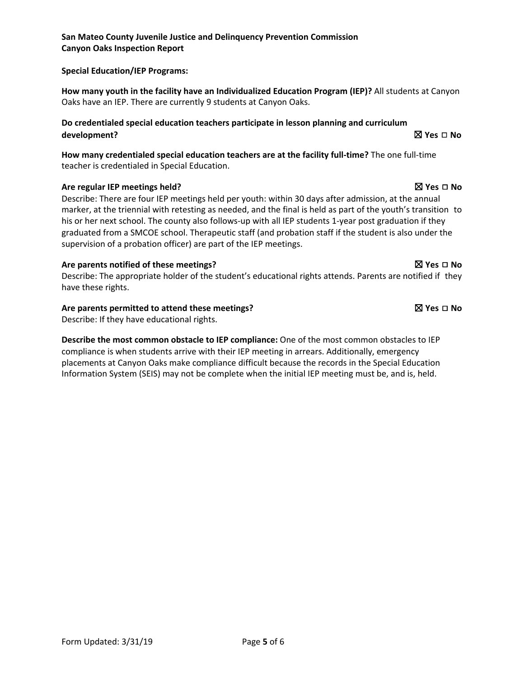# **Special Education/IEP Programs:**

**How many youth in the facility have an Individualized Education Program (IEP)?** All students at Canyon Oaks have an IEP. There are currently 9 students at Canyon Oaks.

# **Do credentialed special education teachers participate in lesson planning and curriculum development?** ☒ **Yes** ◻ **No**

**How many credentialed special education teachers are at the facility full-time?** The one full-time teacher is credentialed in Special Education.

# **Are regular IEP meetings held?** ☒ **Yes** ◻ **No**

Describe: There are four IEP meetings held per youth: within 30 days after admission, at the annual marker, at the triennial with retesting as needed, and the final is held as part of the youth's transition to his or her next school. The county also follows-up with all IEP students 1-year post graduation if they graduated from a SMCOE school. Therapeutic staff (and probation staff if the student is also under the supervision of a probation officer) are part of the IEP meetings.

# **Are parents notified of these meetings?** ☒ **Yes** ◻ **No**

Describe: The appropriate holder of the student's educational rights attends. Parents are notified if they have these rights.

# **Are parents permitted to attend these meetings?** ☒ **Yes** ◻ **No**

Describe: If they have educational rights.

**Describe the most common obstacle to IEP compliance:** One of the most common obstacles to IEP compliance is when students arrive with their IEP meeting in arrears. Additionally, emergency placements at Canyon Oaks make compliance difficult because the records in the Special Education Information System (SEIS) may not be complete when the initial IEP meeting must be, and is, held.